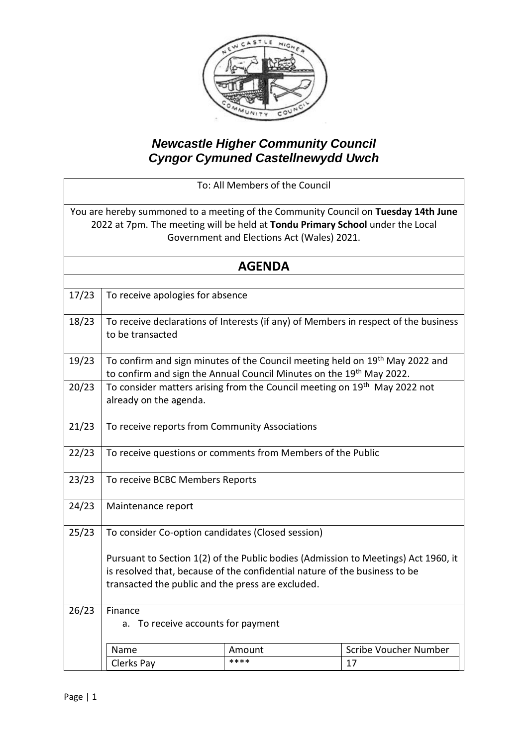

## *Newcastle Higher Community Council Cyngor Cymuned Castellnewydd Uwch*

To: All Members of the Council

You are hereby summoned to a meeting of the Community Council on **Tuesday 14th June** 2022 at 7pm. The meeting will be held at **Tondu Primary School** under the Local Government and Elections Act (Wales) 2021.

| <b>AGENDA</b> |                                                                                                                                                                                                                       |        |                                                                                     |  |  |
|---------------|-----------------------------------------------------------------------------------------------------------------------------------------------------------------------------------------------------------------------|--------|-------------------------------------------------------------------------------------|--|--|
|               |                                                                                                                                                                                                                       |        |                                                                                     |  |  |
| 17/23         | To receive apologies for absence                                                                                                                                                                                      |        |                                                                                     |  |  |
| 18/23         | to be transacted                                                                                                                                                                                                      |        | To receive declarations of Interests (if any) of Members in respect of the business |  |  |
| 19/23         | To confirm and sign minutes of the Council meeting held on 19 <sup>th</sup> May 2022 and<br>to confirm and sign the Annual Council Minutes on the 19th May 2022.                                                      |        |                                                                                     |  |  |
| 20/23         | To consider matters arising from the Council meeting on 19 <sup>th</sup> May 2022 not<br>already on the agenda.                                                                                                       |        |                                                                                     |  |  |
| 21/23         | To receive reports from Community Associations                                                                                                                                                                        |        |                                                                                     |  |  |
| 22/23         | To receive questions or comments from Members of the Public                                                                                                                                                           |        |                                                                                     |  |  |
| 23/23         | To receive BCBC Members Reports                                                                                                                                                                                       |        |                                                                                     |  |  |
| 24/23         | Maintenance report                                                                                                                                                                                                    |        |                                                                                     |  |  |
| 25/23         | To consider Co-option candidates (Closed session)                                                                                                                                                                     |        |                                                                                     |  |  |
|               | Pursuant to Section 1(2) of the Public bodies (Admission to Meetings) Act 1960, it<br>is resolved that, because of the confidential nature of the business to be<br>transacted the public and the press are excluded. |        |                                                                                     |  |  |
| 26/23         | Finance<br>a. To receive accounts for payment                                                                                                                                                                         |        |                                                                                     |  |  |
|               |                                                                                                                                                                                                                       |        |                                                                                     |  |  |
|               | Name                                                                                                                                                                                                                  | Amount | Scribe Voucher Number                                                               |  |  |
|               | Clerks Pay                                                                                                                                                                                                            | ****   | 17                                                                                  |  |  |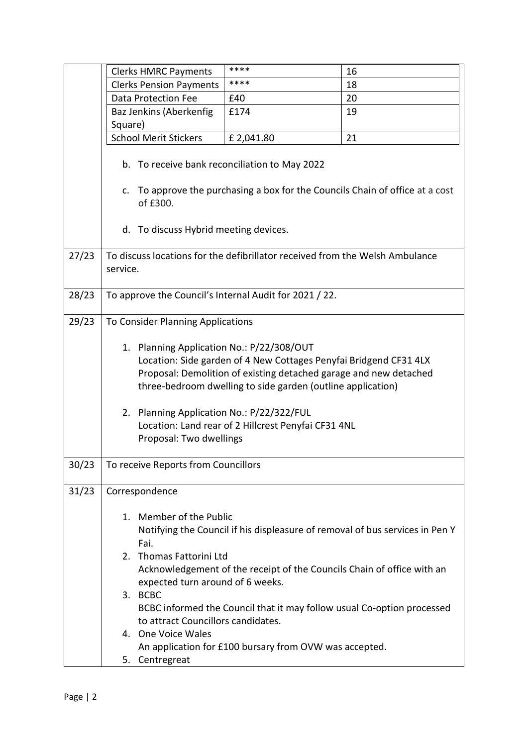|       | <b>Clerks HMRC Payments</b>                                                                                                                                                                                                                                                                                                                                                          | ****                                                                         | 16 |  |
|-------|--------------------------------------------------------------------------------------------------------------------------------------------------------------------------------------------------------------------------------------------------------------------------------------------------------------------------------------------------------------------------------------|------------------------------------------------------------------------------|----|--|
|       | <b>Clerks Pension Payments</b>                                                                                                                                                                                                                                                                                                                                                       | ****                                                                         | 18 |  |
|       | <b>Data Protection Fee</b>                                                                                                                                                                                                                                                                                                                                                           | £40                                                                          | 20 |  |
|       | Baz Jenkins (Aberkenfig                                                                                                                                                                                                                                                                                                                                                              | £174                                                                         | 19 |  |
|       | Square)                                                                                                                                                                                                                                                                                                                                                                              |                                                                              |    |  |
|       | <b>School Merit Stickers</b>                                                                                                                                                                                                                                                                                                                                                         | £2,041.80                                                                    | 21 |  |
|       | b. To receive bank reconciliation to May 2022<br>c. To approve the purchasing a box for the Councils Chain of office at a cost                                                                                                                                                                                                                                                       |                                                                              |    |  |
|       | of £300.<br>d. To discuss Hybrid meeting devices.                                                                                                                                                                                                                                                                                                                                    |                                                                              |    |  |
| 27/23 | To discuss locations for the defibrillator received from the Welsh Ambulance<br>service.                                                                                                                                                                                                                                                                                             |                                                                              |    |  |
| 28/23 | To approve the Council's Internal Audit for 2021 / 22.                                                                                                                                                                                                                                                                                                                               |                                                                              |    |  |
| 29/23 | To Consider Planning Applications                                                                                                                                                                                                                                                                                                                                                    |                                                                              |    |  |
|       | Planning Application No.: P/22/308/OUT<br>1.<br>Location: Side garden of 4 New Cottages Penyfai Bridgend CF31 4LX<br>Proposal: Demolition of existing detached garage and new detached<br>three-bedroom dwelling to side garden (outline application)<br>2. Planning Application No.: P/22/322/FUL<br>Location: Land rear of 2 Hillcrest Penyfai CF31 4NL<br>Proposal: Two dwellings |                                                                              |    |  |
| 30/23 | To receive Reports from Councillors                                                                                                                                                                                                                                                                                                                                                  |                                                                              |    |  |
| 31/23 | Correspondence                                                                                                                                                                                                                                                                                                                                                                       |                                                                              |    |  |
|       | Member of the Public<br>1.<br>Fai.                                                                                                                                                                                                                                                                                                                                                   | Notifying the Council if his displeasure of removal of bus services in Pen Y |    |  |
|       | Thomas Fattorini Ltd<br>2.<br>expected turn around of 6 weeks.                                                                                                                                                                                                                                                                                                                       | Acknowledgement of the receipt of the Councils Chain of office with an       |    |  |
|       | 3. BCBC<br>to attract Councillors candidates.                                                                                                                                                                                                                                                                                                                                        | BCBC informed the Council that it may follow usual Co-option processed       |    |  |
|       | 4. One Voice Wales<br>5. Centregreat                                                                                                                                                                                                                                                                                                                                                 | An application for £100 bursary from OVW was accepted.                       |    |  |